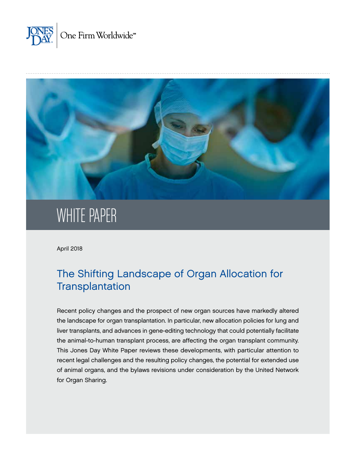



# WHITE PAPER

April 2018

# The Shifting Landscape of Organ Allocation for **Transplantation**

Recent policy changes and the prospect of new organ sources have markedly altered the landscape for organ transplantation. In particular, new allocation policies for lung and liver transplants, and advances in gene-editing technology that could potentially facilitate the animal-to-human transplant process, are affecting the organ transplant community. This Jones Day White Paper reviews these developments, with particular attention to recent legal challenges and the resulting policy changes, the potential for extended use of animal organs, and the bylaws revisions under consideration by the United Network for Organ Sharing.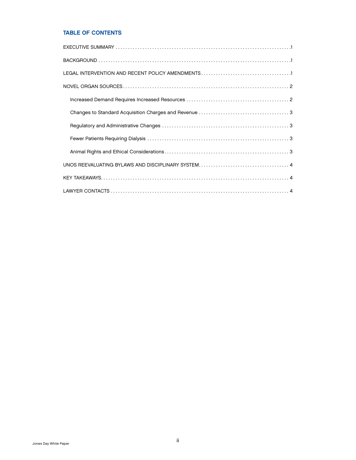### TABLE OF CONTENTS

| $\texttt{BACKGRODUCTION} \texttt{D} \texttt{3} \texttt{3} \texttt{4} \texttt{5} \texttt{5} \texttt{5} \texttt{6} \texttt{6} \texttt{7} \texttt{6} \texttt{8} \texttt{9} \texttt{1} \texttt{1} \texttt{1} \texttt{1} \texttt{1} \texttt{1} \texttt{1} \texttt{1} \texttt{1} \texttt{1} \texttt{1} \texttt{1} \texttt{1} \texttt{1} \texttt{1} \texttt{1} \texttt{1} \texttt{1} \texttt{1} \texttt{1} \texttt{1} \texttt{1} \$ |
|------------------------------------------------------------------------------------------------------------------------------------------------------------------------------------------------------------------------------------------------------------------------------------------------------------------------------------------------------------------------------------------------------------------------------|
|                                                                                                                                                                                                                                                                                                                                                                                                                              |
|                                                                                                                                                                                                                                                                                                                                                                                                                              |
|                                                                                                                                                                                                                                                                                                                                                                                                                              |
|                                                                                                                                                                                                                                                                                                                                                                                                                              |
|                                                                                                                                                                                                                                                                                                                                                                                                                              |
|                                                                                                                                                                                                                                                                                                                                                                                                                              |
|                                                                                                                                                                                                                                                                                                                                                                                                                              |
|                                                                                                                                                                                                                                                                                                                                                                                                                              |
|                                                                                                                                                                                                                                                                                                                                                                                                                              |
|                                                                                                                                                                                                                                                                                                                                                                                                                              |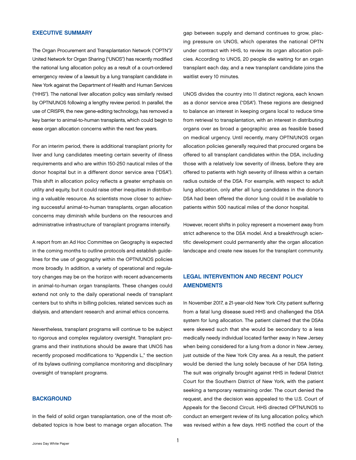#### <span id="page-2-0"></span>EXECUTIVE SUMMARY

The Organ Procurement and Transplantation Network ("OPTN")/ United Network for Organ Sharing ("UNOS") has recently modified the national lung allocation policy as a result of a court-ordered emergency review of a lawsuit by a lung transplant candidate in New York against the Department of Health and Human Services ("HHS"). The national liver allocation policy was similarly revised by OPTN/UNOS following a lengthy review period. In parallel, the use of CRISPR, the new gene-editing technology, has removed a key barrier to animal-to-human transplants, which could begin to ease organ allocation concerns within the next few years.

For an interim period, there is additional transplant priority for liver and lung candidates meeting certain severity of illness requirements and who are within 150-250 nautical miles of the donor hospital but in a different donor service area ("DSA"). This shift in allocation policy reflects a greater emphasis on utility and equity, but it could raise other inequities in distributing a valuable resource. As scientists move closer to achieving successful animal-to-human transplants, organ allocation concerns may diminish while burdens on the resources and administrative infrastructure of transplant programs intensify.

A report from an Ad Hoc Committee on Geography is expected in the coming months to outline protocols and establish guidelines for the use of geography within the OPTN/UNOS policies more broadly. In addition, a variety of operational and regulatory changes may be on the horizon with recent advancements in animal-to-human organ transplants. These changes could extend not only to the daily operational needs of transplant centers but to shifts in billing policies, related services such as dialysis, and attendant research and animal ethics concerns.

Nevertheless, transplant programs will continue to be subject to rigorous and complex regulatory oversight. Transplant programs and their institutions should be aware that UNOS has recently proposed modifications to "Appendix L," the section of its bylaws outlining compliance monitoring and disciplinary oversight of transplant programs.

#### **BACKGROUND**

In the field of solid organ transplantation, one of the most oftdebated topics is how best to manage organ allocation. The

gap between supply and demand continues to grow, placing pressure on UNOS, which operates the national OPTN under contract with HHS, to review its organ allocation policies. According to UNOS, 20 people die waiting for an organ transplant each day, and a new transplant candidate joins the waitlist every 10 minutes.

UNOS divides the country into 11 distinct regions, each known as a donor service area ("DSA"). These regions are designed to balance an interest in keeping organs local to reduce time from retrieval to transplantation, with an interest in distributing organs over as broad a geographic area as feasible based on medical urgency. Until recently, many OPTN/UNOS organ allocation policies generally required that procured organs be offered to all transplant candidates within the DSA, including those with a relatively low severity of illness, before they are offered to patients with high severity of illness within a certain radius outside of the DSA. For example, with respect to adult lung allocation, only after all lung candidates in the donor's DSA had been offered the donor lung could it be available to patients within 500 nautical miles of the donor hospital.

However, recent shifts in policy represent a movement away from strict adherence to the DSA model. And a breakthrough scientific development could permanently alter the organ allocation landscape and create new issues for the transplant community.

## LEGAL INTERVENTION AND RECENT POLICY AMENDMENTS

In November 2017, a 21-year-old New York City patient suffering from a fatal lung disease sued HHS and challenged the DSA system for lung allocation. The patient claimed that the DSAs were skewed such that she would be secondary to a less medically needy individual located farther away in New Jersey when being considered for a lung from a donor in New Jersey, just outside of the New York City area. As a result, the patient would be denied the lung solely because of her DSA listing. The suit was originally brought against HHS in federal District Court for the Southern District of New York, with the patient seeking a temporary restraining order. The court denied the request, and the decision was appealed to the U.S. Court of Appeals for the Second Circuit. HHS directed OPTN/UNOS to conduct an emergent review of its lung allocation policy, which was revised within a few days. HHS notified the court of the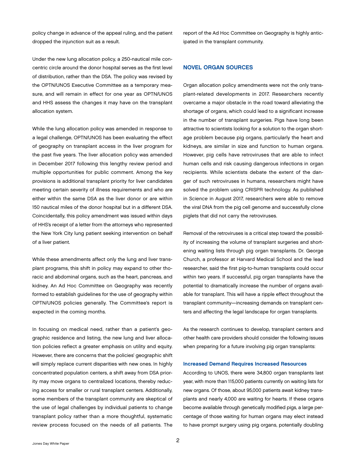<span id="page-3-0"></span>policy change in advance of the appeal ruling, and the patient dropped the injunction suit as a result.

Under the new lung allocation policy, a 250-nautical mile concentric circle around the donor hospital serves as the first level of distribution, rather than the DSA. The policy was revised by the OPTN/UNOS Executive Committee as a temporary measure, and will remain in effect for one year as OPTN/UNOS and HHS assess the changes it may have on the transplant allocation system.

While the lung allocation policy was amended in response to a legal challenge, OPTN/UNOS has been evaluating the effect of geography on transplant access in the liver program for the past five years. The liver allocation policy was amended in December 2017 following this lengthy review period and multiple opportunities for public comment. Among the key provisions is additional transplant priority for liver candidates meeting certain severity of illness requirements and who are either within the same DSA as the liver donor or are within 150 nautical miles of the donor hospital but in a different DSA. Coincidentally, this policy amendment was issued within days of HHS's receipt of a letter from the attorneys who represented the New York City lung patient seeking intervention on behalf of a liver patient.

While these amendments affect only the lung and liver transplant programs, this shift in policy may expand to other thoracic and abdominal organs, such as the heart, pancreas, and kidney. An Ad Hoc Committee on Geography was recently formed to establish guidelines for the use of geography within OPTN/UNOS policies generally. The Committee's report is expected in the coming months.

In focusing on medical need, rather than a patient's geographic residence and listing, the new lung and liver allocation policies reflect a greater emphasis on utility and equity. However, there are concerns that the policies' geographic shift will simply replace current disparities with new ones. In highly concentrated population centers, a shift away from DSA priority may move organs to centralized locations, thereby reducing access for smaller or rural transplant centers. Additionally, some members of the transplant community are skeptical of the use of legal challenges by individual patients to change transplant policy rather than a more thoughtful, systematic review process focused on the needs of all patients. The

report of the Ad Hoc Committee on Geography is highly anticipated in the transplant community.

#### NOVEL ORGAN SOURCES

Organ allocation policy amendments were not the only transplant-related developments in 2017. Researchers recently overcame a major obstacle in the road toward alleviating the shortage of organs, which could lead to a significant increase in the number of transplant surgeries. Pigs have long been attractive to scientists looking for a solution to the organ shortage problem because pig organs, particularly the heart and kidneys, are similar in size and function to human organs. However, pig cells have retroviruses that are able to infect human cells and risk causing dangerous infections in organ recipients. While scientists debate the extent of the danger of such retroviruses in humans, researchers might have solved the problem using CRISPR technology. As published in *[Science](http://science.sciencemag.org/content/early/2017/08/09/science.aan4187)* in August 2017, researchers were able to remove the viral DNA from the pig cell genome and successfully clone piglets that did not carry the retroviruses.

Removal of the retroviruses is a critical step toward the possibility of increasing the volume of transplant surgeries and shortening waiting lists through pig organ transplants. Dr. George Church, a professor at Harvard Medical School and the lead researcher, said the first pig-to-human transplants could occur within two years. If successful, pig organ transplants have the potential to dramatically increase the number of organs available for transplant. This will have a ripple effect throughout the transplant community—increasing demands on transplant centers and affecting the legal landscape for organ transplants.

As the research continues to develop, transplant centers and other health care providers should consider the following issues when preparing for a future involving pig organ transplants:

#### Increased Demand Requires Increased Resources

According to UNOS, there were 34,800 organ transplants last year, with more than 115,000 patients currently on waiting lists for new organs. Of those, about 95,000 patients await kidney transplants and nearly 4,000 are waiting for hearts. If these organs become available through genetically modified pigs, a large percentage of those waiting for human organs may elect instead to have prompt surgery using pig organs, potentially doubling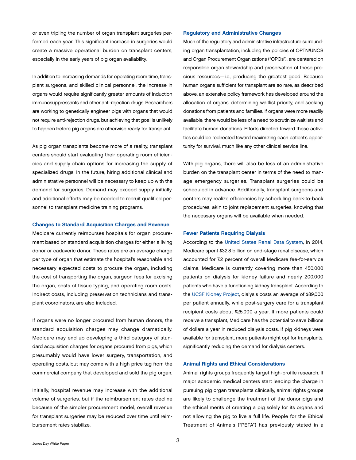<span id="page-4-0"></span>or even tripling the number of organ transplant surgeries performed each year. This significant increase in surgeries would create a massive operational burden on transplant centers, especially in the early years of pig organ availability.

In addition to increasing demands for operating room time, transplant surgeons, and skilled clinical personnel, the increase in organs would require significantly greater amounts of induction immunosuppressants and other anti-rejection drugs. Researchers are working to genetically engineer pigs with organs that would not require anti-rejection drugs, but achieving that goal is unlikely to happen before pig organs are otherwise ready for transplant.

As pig organ transplants become more of a reality, transplant centers should start evaluating their operating room efficiencies and supply chain options for increasing the supply of specialized drugs. In the future, hiring additional clinical and administrative personnel will be necessary to keep up with the demand for surgeries. Demand may exceed supply initially, and additional efforts may be needed to recruit qualified personnel to transplant medicine training programs.

#### Changes to Standard Acquisition Charges and Revenue

Medicare currently reimburses hospitals for organ procurement based on standard acquisition charges for either a living donor or cadaveric donor. These rates are an average charge per type of organ that estimate the hospital's reasonable and necessary expected costs to procure the organ, including the cost of transporting the organ, surgeon fees for excising the organ, costs of tissue typing, and operating room costs. Indirect costs, including preservation technicians and transplant coordinators, are also included.

If organs were no longer procured from human donors, the standard acquisition charges may change dramatically. Medicare may end up developing a third category of standard acquisition charges for organs procured from pigs, which presumably would have lower surgery, transportation, and operating costs, but may come with a high price tag from the commercial company that developed and sold the pig organ.

Initially, hospital revenue may increase with the additional volume of surgeries, but if the reimbursement rates decline because of the simpler procurement model, overall revenue for transplant surgeries may be reduced over time until reimbursement rates stabilize.

#### Regulatory and Administrative Changes

Much of the regulatory and administrative infrastructure surrounding organ transplantation, including the policies of OPTN/UNOS and Organ Procurement Organizations ("OPOs"), are centered on responsible organ stewardship and preservation of these precious resources—i.e., producing the greatest good. Because human organs sufficient for transplant are so rare, as described above, an extensive policy framework has developed around the allocation of organs, determining waitlist priority, and seeking donations from patients and families. If organs were more readily available, there would be less of a need to scrutinize waitlists and facilitate human donations. Efforts directed toward these activities could be redirected toward maximizing each patient's opportunity for survival, much like any other clinical service line.

With pig organs, there will also be less of an administrative burden on the transplant center in terms of the need to manage emergency surgeries. Transplant surgeries could be scheduled in advance. Additionally, transplant surgeons and centers may realize efficiencies by scheduling back-to-back procedures, akin to joint replacement surgeries, knowing that the necessary organs will be available when needed.

#### Fewer Patients Requiring Dialysis

According to the [United States Renal Data System](https://www.usrds.org/2016/view/v2_11.aspx), in 2014, Medicare spent \$32.8 billion on end-stage renal disease, which accounted for 7.2 percent of overall Medicare fee-for-service claims. Medicare is currently covering more than 450,000 patients on dialysis for kidney failure and nearly 200,000 patients who have a functioning kidney transplant. According to the [UCSF Kidney Project](https://pharm.ucsf.edu/kidney/need/statistics), dialysis costs an average of \$89,000 per patient annually, while post-surgery care for a transplant recipient costs about \$25,000 a year. If more patients could receive a transplant, Medicare has the potential to save billions of dollars a year in reduced dialysis costs. If pig kidneys were available for transplant, more patients might opt for transplants, significantly reducing the demand for dialysis centers.

#### Animal Rights and Ethical Considerations

Animal rights groups frequently target high-profile research. If major academic medical centers start leading the charge in pursuing pig organ transplants clinically, animal rights groups are likely to challenge the treatment of the donor pigs and the ethical merits of creating a pig solely for its organs and not allowing the pig to live a full life. People for the Ethical Treatment of Animals ("PETA") has previously stated in a